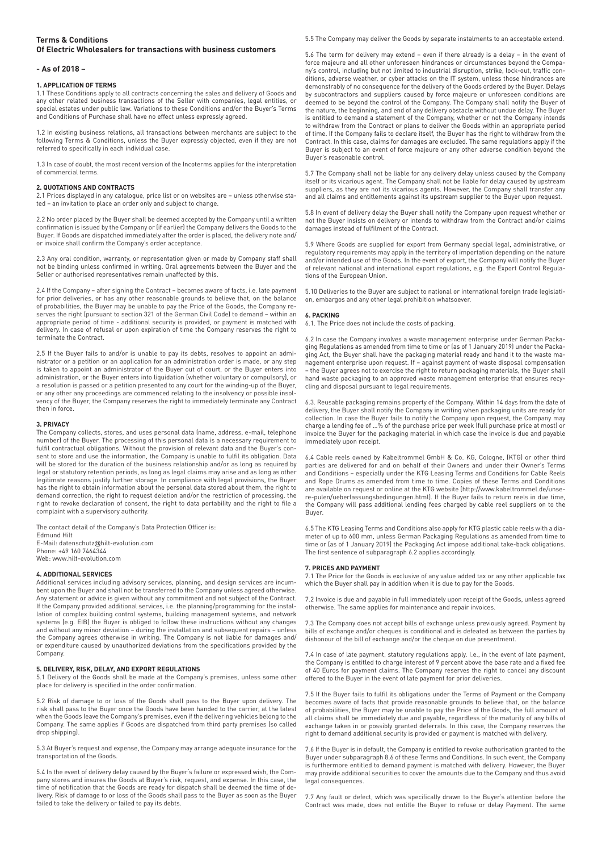# **Terms & Conditions Of Electric Wholesalers for transactions with business customers**

### **- As of 2018 –**

## **1. APPLICATION OF TERMS**

1.1 These Conditions apply to all contracts concerning the sales and delivery of Goods and any other related business transactions of the Seller with companies, legal entities, or special estates under public law. Variations to these Conditions and/or the Buyer's Terms and Conditions of Purchase shall have no effect unless expressly agreed.

1.2 In existing business relations, all transactions between merchants are subject to the following Terms & Conditions, unless the Buyer expressly objected, even if they are not referred to specifically in each individual case.

1.3 In case of doubt, the most recent version of the Incoterms applies for the interpretation of commercial terms.

### **2. QUOTATIONS AND CONTRACTS**

2.1 Prices displayed in any catalogue, price list or on websites are – unless otherwise stated – an invitation to place an order only and subject to change.

2.2 No order placed by the Buyer shall be deemed accepted by the Company until a written confirmation is issued by the Company or (if earlier) the Company delivers the Goods to the Buyer. If Goods are dispatched immediately after the order is placed, the delivery note and/ or invoice shall confirm the Company's order acceptance.

2.3 Any oral condition, warranty, or representation given or made by Company staff shall not be binding unless confirmed in writing. Oral agreements between the Buyer and the Seller or authorised representatives remain unaffected by this.

2.4 If the Company – after signing the Contract – becomes aware of facts, i.e. late payment for prior deliveries, or has any other reasonable grounds to believe that, on the balance of probabilities, the Buyer may be unable to pay the Price of the Goods, the Company reserves the right (pursuant to section 321 of the German Civil Code) to demand – within an appropriate period of time - additional security is provided, or payment is matched with delivery. In case of refusal or upon expiration of time the Company reserves the right to terminate the Contract.

2.5 If the Buyer fails to and/or is unable to pay its debts, resolves to appoint an administrator or a petition or an application for an administration order is made, or any step is taken to appoint an administrator of the Buyer out of court, or the Buyer enters into administration, or the Buyer enters into liquidation (whether voluntary or compulsory), or a resolution is passed or a petition presented to any court for the winding-up of the Buyer, or any other any proceedings are commenced relating to the insolvency or possible insolvency of the Buyer, the Company reserves the right to immediately terminate any Contract then in force.

### **3. PRIVACY**

The Company collects, stores, and uses personal data (name, address, e-mail, telephone number) of the Buyer. The processing of this personal data is a necessary requirement to fulfil contractual obligations. Without the provision of relevant data and the Buyer's consent to store and use the information, the Company is unable to fulfil its obligation. Data will be stored for the duration of the business relationship and/or as long as required by legal or statutory retention periods, as long as legal claims may arise and as long as other legitimate reasons justify further storage. In compliance with legal provisions, the Buyer has the right to obtain information about the personal data stored about them, the right to demand correction, the right to request deletion and/or the restriction of processing, the right to revoke declaration of consent, the right to data portability and the right to file a complaint with a supervisory authority.

The contact detail of the Company's Data Protection Officer is: Edmund Hilt E-Mail: datenschutz@hilt-evolution.com Phone: +49 160 7464344 Web: www.hilt-evolution.com

## **4. ADDITIONAL SERVICES**

Additional services including advisory services, planning, and design services are incumbent upon the Buyer and shall not be transferred to the Company unless agreed otherwise. Any statement or advice is given without any commitment and not subject of the Contract. If the Company provided additional services, i.e. the planning/programming for the instal-lation of complex building control systems, building management systems, and network systems (e.g. EIB) the Buyer is obliged to follow these instructions without any changes and without any minor deviation – during the installation and subsequent repairs – unless the Company agrees otherwise in writing. The Company is not liable for damages and/ or expenditure caused by unauthorized deviations from the specifications provided by the Company.

### **5. DELIVERY, RISK, DELAY, AND EXPORT REGULATIONS**

5.1 Delivery of the Goods shall be made at the Company's premises, unless some other place for delivery is specified in the order confirmation.

5.2 Risk of damage to or loss of the Goods shall pass to the Buyer upon delivery. The risk shall pass to the Buyer once the Goods have been handed to the carrier, at the latest when the Goods leave the Company's premises, even if the delivering vehicles belong to the Company. The same applies if Goods are dispatched from third party premises (so called drop shipping).

5.3 At Buyer's request and expense, the Company may arrange adequate insurance for the transportation of the Goods.

5.4 In the event of delivery delay caused by the Buyer's failure or expressed wish, the Company stores and insures the Goods at Buyer's risk, request, and expense. In this case, the time of notification that the Goods are ready for dispatch shall be deemed the time of delivery. Risk of damage to or loss of the Goods shall pass to the Buyer as soon as the Buyer failed to take the delivery or failed to pay its debts.

5.5 The Company may deliver the Goods by separate instalments to an acceptable extend.

5.6 The term for delivery may extend – even if there already is a delay – in the event of force majeure and all other unforeseen hindrances or circumstances beyond the Company's control, including but not limited to industrial disruption, strike, lock-out, traffic conditions, adverse weather, or cyber attacks on the IT system, unless those hindrances are demonstrably of no consequence for the delivery of the Goods ordered by the Buyer. Delays by subcontractors and suppliers caused by force majeure or unforeseen conditions are deemed to be beyond the control of the Company. The Company shall notify the Buyer of the nature, the beginning, and end of any delivery obstacle without undue delay. The Buyer is entitled to demand a statement of the Company, whether or not the Company intends to withdraw from the Contract or plans to deliver the Goods within an appropriate period of time. If the Company fails to declare itself, the Buyer has the right to withdraw from the Contract. In this case, claims for damages are excluded. The same regulations apply if the Buyer is subject to an event of force majeure or any other adverse condition beyond the Buyer's reasonable control.

5.7 The Company shall not be liable for any delivery delay unless caused by the Company itself or its vicarious agent. The Company shall not be liable for delay caused by upstream suppliers, as they are not its vicarious agents. However, the Company shall transfer any and all claims and entitlements against its upstream supplier to the Buyer upon request.

5.8 In event of delivery delay the Buyer shall notify the Company upon request whether or not the Buyer insists on delivery or intends to withdraw from the Contract and/or claims damages instead of fulfilment of the Contract.

5.9 Where Goods are supplied for export from Germany special legal, administrative, or regulatory requirements may apply in the territory of importation depending on the nature and/or intended use of the Goods. In the event of export, the Company will notify the Buyer of relevant national and international export regulations, e.g. the Export Control Regulations of the European Union.

5.10 Deliveries to the Buyer are subject to national or international foreign trade legislation, embargos and any other legal prohibition whatsoever.

### **6. PACKING**

6.1. The Price does not include the costs of packing.

6.2 In case the Company involves a waste management enterprise under German Packaging Regulations as amended from time to time or (as of 1 January 2019) under the Packaging Act, the Buyer shall have the packaging material ready and hand it to the waste management enterprise upon request. If – against payment of waste disposal compensation – the Buyer agrees not to exercise the right to return packaging materials, the Buyer shall hand waste packaging to an approved waste management enterprise that ensures recycling and disposal pursuant to legal requirements.

6.3. Reusable packaging remains property of the Company. Within 14 days from the date of delivery, the Buyer shall notify the Company in writing when packaging units are ready for collection. In case the Buyer fails to notify the Company upon request, the Company may charge a lending fee of …% of the purchase price per week (full purchase price at most) or invoice the Buyer for the packaging material in which case the invoice is due and payable immediately upon receipt.

6.4 Cable reels owned by Kabeltrommel GmbH & Co. KG, Cologne, (KTG) or other third parties are delivered for and on behalf of their Owners and under their Owner's Terms and Conditions – especially under the KTG Leasing Terms and Conditions for Cable Reels and Rope Drums as amended from time to time. Copies of these Terms and Conditions are available on request or online at the KTG website (http://www.kabeltrommel.de/unsere-pulen/ueberlassungsbedingungen.html). If the Buyer fails to return reels in due time, the Company will pass additional lending fees charged by cable reel suppliers on to the Buyer.

6.5 The KTG Leasing Terms and Conditions also apply for KTG plastic cable reels with a diameter of up to 600 mm, unless German Packaging Regulations as amended from time to time or (as of 1 January 2019) the Packaging Act impose additional take-back obligations. The first sentence of subparagraph 6.2 applies accordingly.

### **7. PRICES AND PAYMENT**

7.1 The Price for the Goods is exclusive of any value added tax or any other applicable tax which the Buyer shall pay in addition when it is due to pay for the Goods.

7.2 Invoice is due and payable in full immediately upon receipt of the Goods, unless agreed otherwise. The same applies for maintenance and repair invoices.

7.3 The Company does not accept bills of exchange unless previously agreed. Payment by bills of exchange and/or cheques is conditional and is defeated as between the parties by dishonour of the bill of exchange and/or the cheque on due presentment.

7.4 In case of late payment, statutory regulations apply. I.e., in the event of late payment, the Company is entitled to charge interest of 9 percent above the base rate and a fixed fee of 40 Euros for payment claims. The Company reserves the right to cancel any discount offered to the Buyer in the event of late payment for prior deliveries.

7.5 If the Buyer fails to fulfil its obligations under the Terms of Payment or the Company becomes aware of facts that provide reasonable grounds to believe that, on the balance of probabilities, the Buyer may be unable to pay the Price of the Goods, the full amount of all claims shall be immediately due and payable, regardless of the maturity of any bills of exchange taken in or possibly granted deferrals. In this case, the Company reserves the right to demand additional security is provided or payment is matched with delivery.

7.6 If the Buyer is in default, the Company is entitled to revoke authorisation granted to the Buyer under subparagraph 8.6 of these Terms and Conditions. In such event, the Company is furthermore entitled to demand payment is matched with delivery. However, the Buyer may provide additional securities to cover the amounts due to the Company and thus avoid legal consequences.

7.7 Any fault or defect, which was specifically drawn to the Buyer's attention before the Contract was made, does not entitle the Buyer to refuse or delay Payment. The same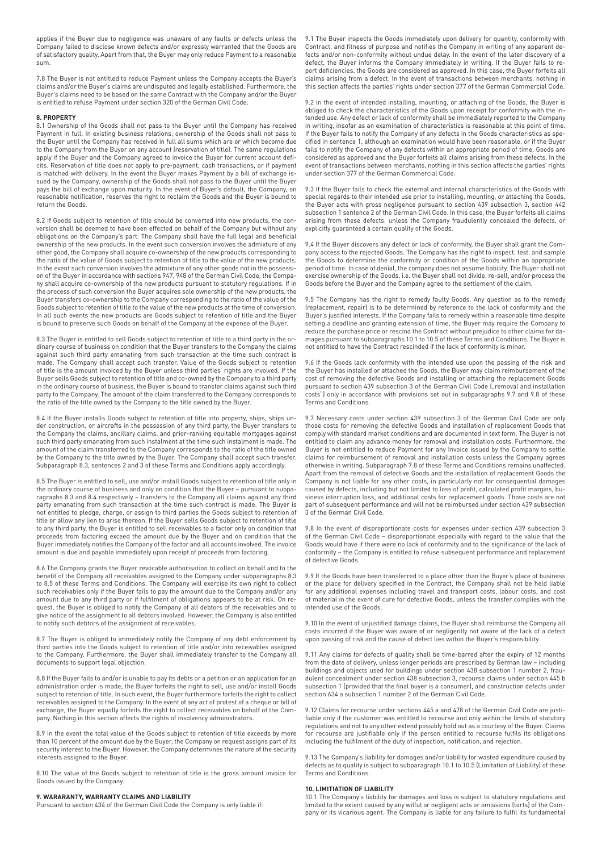applies if the Buyer due to negligence was unaware of any faults or defects unless the Company failed to disclose known defects and/or expressly warranted that the Goods are of satisfactory quality. Apart from that, the Buyer may only reduce Payment to a reasonable sum.

7.8 The Buyer is not entitled to reduce Payment unless the Company accepts the Buyer's claims and/or the Buyer's claims are undisputed and legally established. Furthermore, the Buyer's claims need to be based on the same Contract with the Company and/or the Buyer is entitled to refuse Payment under section 320 of the German Civil Code.

#### **8. PROPERTY**

8.1 Ownership of the Goods shall not pass to the Buyer until the Company has received Payment in full. In existing business relations, ownership of the Goods shall not pass to the Buyer until the Company has received in full all sums which are or which become due to the Company from the Buyer on any account (reservation of title). The same regulations apply if the Buyer and the Company agreed to invoice the Buyer for current account deficits. Reservation of title does not apply to pre-payment, cash transactions, or if payment is matched with delivery. In the event the Buyer makes Payment by a bill of exchange issued by the Company, ownership of the Goods shall not pass to the Buyer until the Buyer pays the bill of exchange upon maturity. In the event of Buyer's default, the Company, on reasonable notification, reserves the right to reclaim the Goods and the Buyer is bound to return the Goods.

8.2 If Goods subject to retention of title should be converted into new products, the conversion shall be deemed to have been effected on behalf of the Company but without any obligations on the Company's part. The Company shall have the full legal and beneficial ownership of the new products. In the event such conversion involves the admixture of any other good, the Company shall acquire co-ownership of the new products corresponding to the ratio of the value of Goods subject to retention of title to the value of the new products. In the event such conversion involves the admixture of any other goods not in the possession of the Buyer in accordance with sections 947, 948 of the German Civil Code, the Company shall acquire co-ownership of the new products pursuant to statutory regulations. If in the process of such conversion the Buyer acquires sole ownership of the new products, the Buyer transfers co-ownership to the Company corresponding to the ratio of the value of the Goods subject to retention of title to the value of the new products at the time of conversion. In all such events the new products are Goods subject to retention of title and the Buyer is bound to preserve such Goods on behalf of the Company at the expense of the Buyer.

8.3 The Buyer is entitled to sell Goods subject to retention of title to a third party in the ordinary course of business on condition that the Buyer transfers to the Company the claims against such third party emanating from such transaction at the time such contract is made. The Company shall accept such transfer. Value of the Goods subject to retention of title is the amount invoiced by the Buyer unless third parties' rights are involved. If the Buyer sells Goods subject to retention of title and co-owned by the Company to a third party in the ordinary course of business, the Buyer is bound to transfer claims against such third party to the Company. The amount of the claim transferred to the Company corresponds to the ratio of the title owned by the Company to the title owned by the Buyer.

8.4 If the Buyer installs Goods subject to retention of title into property, ships, ships under construction, or aircrafts in the possession of any third party, the Buyer transfers to the Company the claims, ancillary claims, and prior-ranking equitable mortgages against such third party emanating from such instalment at the time such instalment is made. The amount of the claim transferred to the Company corresponds to the ratio of the title owned by the Company to the title owned by the Buyer. The Company shall accept such transfer. Subparagraph 8.3, sentences 2 and 3 of these Terms and Conditions apply accordingly.

8.5 The Buyer is entitled to sell, use and/or install Goods subject to retention of title only in the ordinary course of business and only on condition that the Buyer – pursuant to subparagraphs 8.3 and 8.4 respectively – transfers to the Company all claims against any third party emanating from such transaction at the time such contract is made. The Buyer is not entitled to pledge, charge, or assign to third parties the Goods subject to retention of title or allow any lien to arise thereon. If the Buyer sells Goods subject to retention of title to any third party, the Buyer is entitled to sell receivables to a factor only on condition that proceeds from factoring exceed the amount due by the Buyer and on condition that the Buyer immediately notifies the Company of the factor and all accounts involved. The invoice amount is due and payable immediately upon receipt of proceeds from factoring.

8.6 The Company grants the Buyer revocable authorisation to collect on behalf and to the benefit of the Company all receivables assigned to the Company under subparagraphs 8.3 to 8.5 of these Terms and Conditions. The Company will exercise its own right to collect such receivables only if the Buyer fails to pay the amount due to the Company and/or any amount due to any third party or if fulfilment of obligations appears to be at risk. On request, the Buyer is obliged to notify the Company of all debtors of the receivables and to give notice of the assignment to all debtors involved. However, the Company is also entitled to notify such debtors of the assignment of receivables.

8.7 The Buyer is obliged to immediately notify the Company of any debt enforcement by third parties into the Goods subject to retention of title and/or into receivables assigned to the Company. Furthermore, the Buyer shall immediately transfer to the Company all documents to support legal objection.

8.8 If the Buyer fails to and/or is unable to pay its debts or a petition or an application for an administration order is made, the Buyer forfeits the right to sell, use and/or install Goods subject to retention of title. In such event, the Buyer furthermore forfeits the right to collect receivables assigned to the Company. In the event of any act of protest of a cheque or bill of exchange, the Buyer equally forfeits the right to collect receivables on behalf of the Company. Nothing in this section affects the rights of insolvency administrators.

8.9 In the event the total value of the Goods subject to retention of title exceeds by more than 10 percent of the amount due by the Buyer, the Company on request assigns part of its security interest to the Buyer. However, the Company determines the nature of the security interests assigned to the Buyer.

8.10 The value of the Goods subject to retention of title is the gross amount invoice for Goods issued by the Company.

### **9. WARARANTY, WARRANTY CLAIMS AND LIABILITY**

Pursuant to section 434 of the German Civil Code the Company is only liable if:

9.1 The Buyer inspects the Goods immediately upon delivery for quantity, conformity with Contract, and fitness of purpose and notifies the Company in writing of any apparent de-fects and/or non-conformity without undue delay. In the event of the later discovery of a defect, the Buyer informs the Company immediately in writing. If the Buyer fails to report deficiencies, the Goods are considered as approved. In this case, the Buyer forfeits all claims arising from a defect. In the event of transactions between merchants, nothing in this section affects the parties' rights under section 377 of the German Commercial Code.

9.2 In the event of intended installing, mounting, or attaching of the Goods, the Buyer is obliged to check the characteristics of the Goods upon receipt for conformity with the intended use. Any defect or lack of conformity shall be immediately reported to the Company in writing, insofar as an examination of characteristics is reasonable at this point of time. If the Buyer fails to notify the Company of any defects in the Goods characteristics as specified in sentence 1, although an examination would have been reasonable, or if the Buyer fails to notify the Company of any defects within an appropriate period of time, Goods are considered as approved and the Buyer forfeits all claims arising from these defects. In the event of transactions between merchants, nothing in this section affects the parties' rights under section 377 of the German Commercial Code.

9.3 If the Buyer fails to check the external and internal characteristics of the Goods with special regards to their intended use prior to installing, mounting, or attaching the Goods, the Buyer acts with gross negligence pursuant to section 439 subsection 3, section 442 subsection 1 sentence 2 of the German Civil Code. In this case, the Buyer forfeits all claims arising from these defects, unless the Company fraudulently concealed the defects, or explicitly guaranteed a certain quality of the Goods.

9.4 If the Buyer discovers any defect or lack of conformity, the Buyer shall grant the Company access to the rejected Goods. The Company has the right to inspect, test, and sample the Goods to determine the conformity or condition of the Goods within an appropriate period of time. In case of denial, the company does not assume liability. The Buyer shall not exercise ownership of the Goods, i.e. the Buyer shall not divide, re-sell, and/or process the Goods before the Buyer and the Company agree to the settlement of the claim

9.5 The Company has the right to remedy faulty Goods. Any question as to the remedy (replacement, repair) is to be determined by reference to the lack of conformity and the Buyer's justified interests. If the Company fails to remedy within a reasonable time despite setting a deadline and granting extension of time, the Buyer may require the Company to reduce the purchase price or rescind the Contract without prejudice to other claims for damages pursuant to subparagraphs 10.1 to 10.5 of these Terms and Conditions. The Buyer is not entitled to have the Contract rescinded if the lack of conformity is minor.

9.6 If the Goods lack conformity with the intended use upon the passing of the risk and the Buyer has installed or attached the Goods, the Buyer may claim reimbursement of the cost of removing the defective Goods and installing or attaching the replacement Goods pursuant to section 439 subsection 3 of the German Civil Code ("removal and installation") costs") only in accordance with provisions set out in subparagraphs 9.7 and 9.8 of these Terms and Conditions.

9.7 Necessary costs under section 439 subsection 3 of the German Civil Code are only those costs for removing the defective Goods and installation of replacement Goods that comply with standard market conditions and are documented in text form. The Buyer is not entitled to claim any advance money for removal and installation costs. Furthermore, the Buyer is not entitled to reduce Payment for any Invoice issued by the Company to settle claims for reimbursement of removal and installation costs unless the Company agrees otherwise in writing. Subparagraph 7.8 of these Terms and Conditions remains unaffected. Apart from the removal of defective Goods and the installation of replacement Goods the Company is not liable for any other costs, in particularly not for consequential damages caused by defects, including but not limited to loss of profit, calculated profit margins, business interruption loss, and additional costs for replacement goods. Those costs are not part of subsequent performance and will not be reimbursed under section 439 subsection 3 of the German Civil Code.

9.8 In the event of disproportionate costs for expenses under section 439 subsection 3 of the German Civil Code – disproportionate especially with regard to the value that the Goods would have if there were no lack of conformity and to the significance of the lack of conformity – the Company is entitled to refuse subsequent performance and replacement of defective Goods.

9.9 If the Goods have been transferred to a place other than the Buyer's place of business or the place for delivery specified in the Contract, the Company shall not be held liable for any additional expenses including travel and transport costs, labour costs, and cost of material in the event of cure for defective Goods, unless the transfer complies with the intended use of the Goods.

9.10 In the event of unjustified damage claims, the Buyer shall reimburse the Company all costs incurred if the Buyer was aware of or negligently not aware of the lack of a defect upon passing of risk and the cause of defect lies within the Buyer's responsibility.

9.11 Any claims for defects of quality shall be time-barred after the expiry of 12 months from the date of delivery, unless longer periods are prescribed by German law – including buildings and objects used for buildings under section 438 subsection 1 number 2, fraudulent concealment under section 438 subsection 3, recourse claims under section 445 b subsection 1 (provided that the final buyer is a consumer), and construction defects under section 634 a subsection 1 number 2 of the German Civil Code.

9.12 Claims for recourse under sections 445 a and 478 of the German Civil Code are justifiable only if the customer was entitled to recourse and only within the limits of statutory regulations and not to any other extend possibly hold out as a courtesy of the Buyer. Claims for recourse are justifiable only if the person entitled to recourse fulfils its obligations including the fulfilment of the duty of inspection, notification, and rejection.

9.13 The Company's liability for damages and/or liability for wasted expenditure caused by defects as to quality is subject to subparagraph 10.1 to 10.5 (Limitation of Liability) of these Terms and Conditions.

### **10. LIMITIATION OF LIABILITY**

10.1 The Company's liability for damages and loss is subject to statutory regulations and limited to the extent caused by any wilful or negligent acts or omissions (torts) of the Com-pany or its vicarious agent. The Company is liable for any failure to fulfil its fundamental